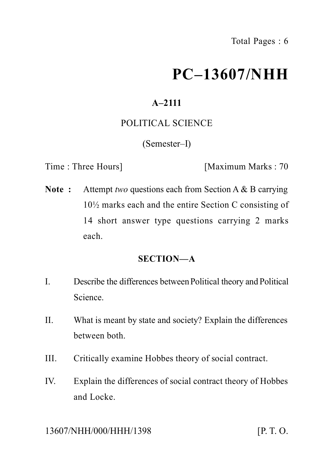# **PC–13607/NHH**

## **A–2111**

## POLITICAL SCIENCE

#### (Semester–I)

Time : Three Hours] [Maximum Marks : 70

**Note :** Attempt *two* questions each from Section A & B carrying 10½ marks each and the entire Section C consisting of 14 short answer type questions carrying 2 marks each.

## **SECTION—A**

- I. Describe the differences between Political theory and Political Science.
- II. What is meant by state and society? Explain the differences between both.
- III. Critically examine Hobbes theory of social contract.
- IV. Explain the differences of social contract theory of Hobbes and Locke.

#### 13607/NHH/000/HHH/1398 [P. T. O.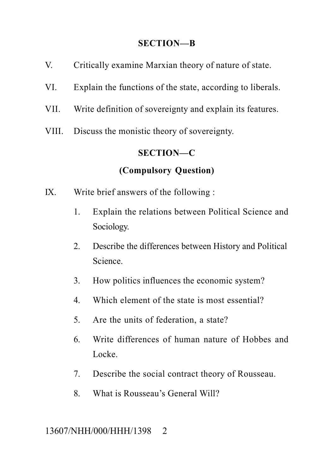#### **SECTION—B**

- V. Critically examine Marxian theory of nature of state.
- VI. Explain the functions of the state, according to liberals.
- VII. Write definition of sovereignty and explain its features.
- VIII. Discuss the monistic theory of sovereignty.

#### **SECTION—C**

## **(Compulsory Question)**

- IX. Write brief answers of the following :
	- 1. Explain the relations between Political Science and Sociology.
	- 2. Describe the differences between History and Political Science.
	- 3. How politics influences the economic system?
	- 4. Which element of the state is most essential?
	- 5. Are the units of federation, a state?
	- 6. Write differences of human nature of Hobbes and Locke.
	- 7. Describe the social contract theory of Rousseau.
	- 8. What is Rousseau's General Will?

## 13607/NHH/000/HHH/1398 2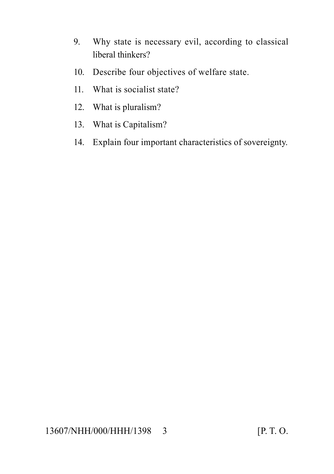- 9. Why state is necessary evil, according to classical liberal thinkers?
- 10. Describe four objectives of welfare state.
- 11. What is socialist state?
- 12. What is pluralism?
- 13. What is Capitalism?
- 14. Explain four important characteristics of sovereignty.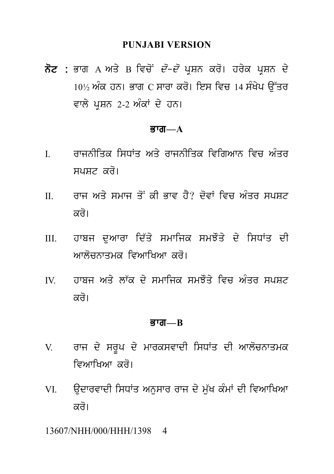#### **PUNJABI VERSION**

PUNJABI VERSION<br>ਨੋਟ : ਭਾਗ A ਅਤੇ B ਵਿਚੋਂ *ਦੋ–ਦੋ* ਪ੍ਰਸ਼ਨ ਕਰੋ। ਹਰੇਕ ਪ੍ਰਸ਼ਨ ਦੇ<br>10½ ਅੰਕ ਹਨ। ਭਾਗ C ਸਾਰਾ ਕਰੋ। ਇਸ ਵਿਚ 14 ਸੰਖੇਪ ਉੱਤਰ PUNJABI VERSION<br>ਭਾਗ A ਅਤੇ B ਵਿਚੋਂ *ਦੋ–ਦੋ* ਪ੍ਰਸ਼ਨ ਕਰੋ। ਹਰੇਕ ਪ੍ਰਸ਼ਨ ਦੇ<br>10½ ਅੰਕ ਹਨ। ਭਾਗ C ਸਾਰਾ ਕਰੋ। ਇਸ ਵਿਚ 14 ਸੰਖੇਪ ਉੱਤਰ<br>ਵਾਲੇ ਪ੍ਰਸ਼ਨ 2-2 ਅੰਕਾਂ ਦੇ ਹਨ। ਨੋਟ : ਭਾਗ A ਅਤੇ B ਵਿਚੋਂ *ਦੋ–ਦੋ* ਪ੍ਰਸ਼ਨ ਕਰੋ। ਹਰੇਕ ਪ੍ਰਸ਼ਨ ਦੇ<br>10½ ਅੰਕ ਹਨ। ਭਾਗ C ਸਾਰਾ ਕਰੋ। ਇਸ ਵਿਚ 14 ਸੰਖੇਪ ਉੱਤਰ<br>ਵਾਲੇ ਪਸ਼ਨ 2-2 ਅੰਕਾਂ ਦੇ ਹਨ।

#### Bwg**—A**

- ਵਾਲ ਪ੍ਰਸ਼ਨ 2-2 ਅਕਾ ਦ ਹਨ।<br>ਭਾਗ—A<br>I. ਰਾਜਨੀਤਿਕ ਸਿਧਾਂਤ ਅਤੇ ਰਾਜਨੀਤਿਕ ਵਿਗਿਆਨ ਵਿਚ ਅੰਤਰ<br>ਸਪਸ਼ਟ ਕਰੋ। spSt kr o[
- I. ਰਾਜਨੀਤਿਕ ਸਿਧਾਂਤ ਅਤੇ ਰਾਜਨੀਤਿਕ ਵਿਗਿਆਨ ਵਿਚ ਅੰਤਰ<br>ਸਪਸ਼ਟ ਕਰੋ।<br>II. ਰਾਜ ਅਤੇ ਸਮਾਜ ਤੋਂ ਕੀ ਭਾਵ ਹੈ? ਦੋਵਾਂ ਵਿਚ ਅੰਤਰ ਸਪਸ਼ਟ<br>ਕਰੋ। ਸਪਸ਼ਟ ਕਰੋ।<br>ਰਾਜ ਅਤੇ ਸਮਾਜ ਤੋਂ ਕੀ ਭਾ<br>ਕਰੋ।<br>ਹਾਬਜ ਦੁਆਰਾ ਦਿੱਤੇ ਸਮ
- II. ਰਾਜ ਅਤੇ ਸਮਾਜ ਤੋਂ ਕੀ ਭਾਵ ਹੈ? ਦੋਵਾਂ ਵਿਚ ਅੰਤਰ ਸਪਸ਼ਟ<br>ਕਰੋ।<br>III. ਹਾਬਜ ਦੁਆਰਾ ਦਿੱਤੇ ਸਮਾਜਿਕ ਸਮਝੌਤੇ ਦੇ ਸਿਧਾਂਤ ਦੀ<br>ਆਲੋਚਨਾਤਮਕ ਵਿਆਖਿਆ ਕਰੋ। ਕਰੋ।<br>ਹਾਬਜ ਦੁਆਰਾ ਦਿੱਤੇ ਸਮਾਜਿਕ ਸਮਝੌਤੇ ਦੇ ਸਿਧਾਂਤ<br>ਆਲੋਚਨਾਤਮਕ ਵਿਆਖਿਆ ਕਰੋ।<br>ਹਾਬਜ ਅਤੇ ਲਾੱਕ ਦੇ ਸਮਾਜਿਕ ਸਮਝੌਤੇ ਵਿਚ ਅੰਤਰ ਸ III. ਹਾਬਜ ਦੁਆਰਾ ਦਿੱਤੇ ਸਮਾਜਿਕ ਸਮਝੌਤੇ ਦੇ ਸਿਧਾਂਤ ਦੀ<br>ਆਲੋਚਨਾਤਮਕ ਵਿਆਖਿਆ ਕਰੋ।<br>IV. ਹਾਬਜ ਅਤੇ ਲਾੱਕ ਦੇ ਸਮਾਜਿਕ ਸਮਝੌਤੇ ਵਿਚ ਅੰਤਰ ਸਪਸ਼ਟ<br>ਕਰੋ।
- ਆਲੋਚਨਾਤਮਕ ਵਿਆਖਿਆ ਕਰੋ।<br>ਹਾਬਜ ਅਤੇ ਲਾੱਕ ਦੇ ਸਮਾਜਿਕ ਸਮਝੌਤੇ ਵਿਚ ਅੰਤਰ ਸਪਸ਼ਟ<br>ਕਰੋ।

#### Bwg**—B**

- ਕਰ।<br>ਭਾਗ—B<br>V. ਰਾਜ ਦੇ ਸਰੂਪ ਦੇ ਮਾਰਕਸਵਾਦੀ ਸਿਧਾਂਤ ਦੀ ਆਲੋਚਨਾਤਮਕ<br>ਵਿਆਖਿਆ ਕਰੋ। **ਭਾਗ—B**<br>ਰਾਜ ਦੇ ਸਰੂਪ ਦੇ ਮਾਰਕਸਵਾਦੀ ਸਿਧਾਂਤ<br>ਵਿਆਖਿਆ ਕਰੋ।<br>ਉਦਾਰਵਾਦੀ ਸਿਧਾਂਤ ਅਨੁਸਾਰ ਰਾਜ ਦੇ ਮੁੱਖ V. ਰਾਜ ਦੇ ਸਰੂਪ ਦੇ ਮਾਰਕਸਵਾਦੀ ਸਿਧਾਂਤ ਦੀ ਆਲੋਚਨਾਤਮਕ<br>ਵਿਆਖਿਆ ਕਰੋ।<br>VI. ਉਦਾਰਵਾਦੀ ਸਿਧਾਂਤ ਅਨੁਸਾਰ ਰਾਜ ਦੇ ਮੁੱਖ ਕੰਮਾਂ ਦੀ ਵਿਆਖਿਆ<br>ਕਰੋ।
- ਵਿਆਖਿਆ ਕਰੋ।<br>ਉਦਾਰਵਾਦੀ ਸਿਧਾਂਤ ਅਨੁਸਾਰ ਰਾਜ ਦੇ ਮੁੱਖ ਕੰਮਾਂ ਦੀ ਵਿਆਖਿਆ<br>ਕਰੋ।

13607/NHH/000/HHH/1398 4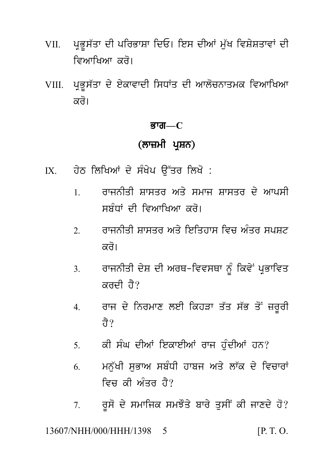- ਪ੍ਰਭੁਸੱਤਾ ਦੀ ਪਰਿਭਾਸ਼ਾ ਦਿਓ। ਇਸ ਦੀਆਂ ਮੁੱਖ ਵਿਸ਼ੇਸ਼ਤਾਵਾਂ ਦੀ VII. ਵਿਆਖਿਆ ਕਰੋ।
- VIII. ਪੁਭੁਸੱਤਾ ਦੇ ਏਕਾਵਾਦੀ ਸਿਧਾਂਤ ਦੀ ਆਲੋਚਨਾਤਮਕ ਵਿਆਖਿਆ ਕਰੋ।

#### ਭਾਗ $-C$

## (ਲਾਜ਼ਮੀ ਪਸ਼ਨ)

- ਹੇਠ ਲਿਖਿਆਂ ਦੇ ਸੰਖੇਪ ਉੱਤਰ ਲਿਖੋ :  $IX$ 
	- ਰਾਜਨੀਤੀ ਸਾਸਤਰ ਅਤੇ ਸਮਾਜ ਸਾਸਤਰ ਦੇ ਆਪਸੀ  $\mathbf{1}$ ਸਬੰਧਾਂ ਦੀ ਵਿਆਖਿਆ ਕਰੋ।
	- ਰਾਜਨੀਤੀ ਸ਼ਾਸਤਰ ਅਤੇ ਇਤਿਹਾਸ ਵਿਚ ਅੰਤਰ ਸਪਸ਼ਟ  $\overline{2}$ ਕਰੋ।
	- ਰਾਜਨੀਤੀ ਦੇਸ਼ ਦੀ ਅਰਥ-ਵਿਵਸਥਾ ਨੂੰ ਕਿਵੇਂ ਪ੍ਰਭਾਵਿਤ  $\overline{3}$ ਕਰਦੀ ਹੈ?
	- ਰਾਜ ਦੇ ਨਿਰਮਾਣ ਲਈ ਕਿਹੜਾ ਤੱਤ ਸੱਭ ਤੋਂ ਜ਼ਰੂਰੀ  $\overline{4}$ . तै?
	- ਕੀ ਸੰਘ ਦੀਆਂ ਇਕਾਈਆਂ ਰਾਜ ਹੰਦੀਆਂ ਹਨ?  $5<sup>7</sup>$
	- ਮਨੱਖੀ ਸਭਾਅ ਸਬੰਧੀ ਹਾਬਜ ਅਤੇ ਲਾੱਕ ਦੇ ਵਿਚਾਰਾਂ 6 ਵਿਜ਼ ਕੀ ਅੰਤਰ ਹੈ?
	- ਰੂਸੋ ਦੇ ਸਮਾਜਿਕ ਸਮਝੌਤੇ ਬਾਰੇ ਤੁਸੀਂ ਕੀ ਜਾਣਦੇ ਹੋ?  $7<sub>1</sub>$